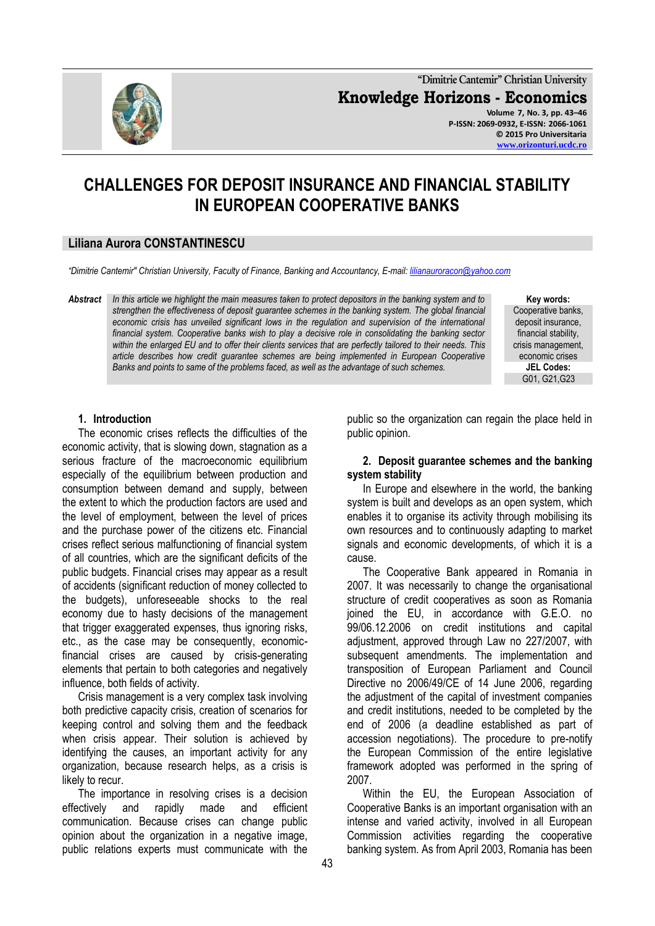

**"Dimitrie Cantemir" Christian University Knowledge Horizons - Economics Volume 7, No. 3, pp. 43–46 P-ISSN: 2069-0932, E-ISSN: 2066-1061 © 2015 Pro Universitaria**

**[www.orizonturi.ucdc.ro](http://www.orizonturi.ucdc.ro/)**

# **CHALLENGES FOR DEPOSIT INSURANCE AND FINANCIAL STABILITY IN EUROPEAN COOPERATIVE BANKS**

## **Liliana Aurora CONSTANTINESCU**

*"Dimitrie Cantemir" Christian University, Faculty of Finance, Banking and Accountancy, E-mail: [lilianauroracon@yahoo.com](mailto:lilianauroracon@yahoo.com)*

*Abstract In this article we highlight the main measures taken to protect depositors in the banking system and to strengthen the effectiveness of deposit guarantee schemes in the banking system. The global financial economic crisis has unveiled significant lows in the regulation and supervision of the international financial system. Cooperative banks wish to play a decisive role in consolidating the banking sector within the enlarged EU and to offer their clients services that are perfectly tailored to their needs. This article describes how credit guarantee schemes are being implemented in European Cooperative Banks and points to same of the problems faced, as well as the advantage of such schemes.*

**Key words:**

Cooperative banks, deposit insurance, financial stability, crisis management, economic crises **JEL Codes:** G01, G21,G23

#### **1. Introduction**

The economic crises reflects the difficulties of the economic activity, that is slowing down, stagnation as a serious fracture of the macroeconomic equilibrium especially of the equilibrium between production and consumption between demand and supply, between the extent to which the production factors are used and the level of employment, between the level of prices and the purchase power of the citizens etc. Financial crises reflect serious malfunctioning of financial system of all countries, which are the significant deficits of the public budgets. Financial crises may appear as a result of accidents (significant reduction of money collected to the budgets), unforeseeable shocks to the real economy due to hasty decisions of the management that trigger exaggerated expenses, thus ignoring risks, etc., as the case may be consequently, economicfinancial crises are caused by crisis-generating elements that pertain to both categories and negatively influence, both fields of activity.

Crisis management is a very complex task involving both predictive capacity crisis, creation of scenarios for keeping control and solving them and the feedback when crisis appear. Their solution is achieved by identifying the causes, an important activity for any organization, because research helps, as a crisis is likely to recur.

The importance in resolving crises is a decision effectively and rapidly made and efficient communication. Because crises can change public opinion about the organization in a negative image, public relations experts must communicate with the

public so the organization can regain the place held in public opinion.

#### **2. Deposit guarantee schemes and the banking system stability**

In Europe and elsewhere in the world, the banking system is built and develops as an open system, which enables it to organise its activity through mobilising its own resources and to continuously adapting to market signals and economic developments, of which it is a cause.

The Cooperative Bank appeared in Romania in 2007. It was necessarily to change the organisational structure of credit cooperatives as soon as Romania joined the EU, in accordance with G.E.O. no 99/06.12.2006 on credit institutions and capital adjustment, approved through Law no 227/2007, with subsequent amendments. The implementation and transposition of European Parliament and Council Directive no 2006/49/CE of 14 June 2006, regarding the adjustment of the capital of investment companies and credit institutions, needed to be completed by the end of 2006 (a deadline established as part of accession negotiations). The procedure to pre-notify the European Commission of the entire legislative framework adopted was performed in the spring of 2007.

Within the EU, the European Association of Cooperative Banks is an important organisation with an intense and varied activity, involved in all European Commission activities regarding the cooperative banking system. As from April 2003, Romania has been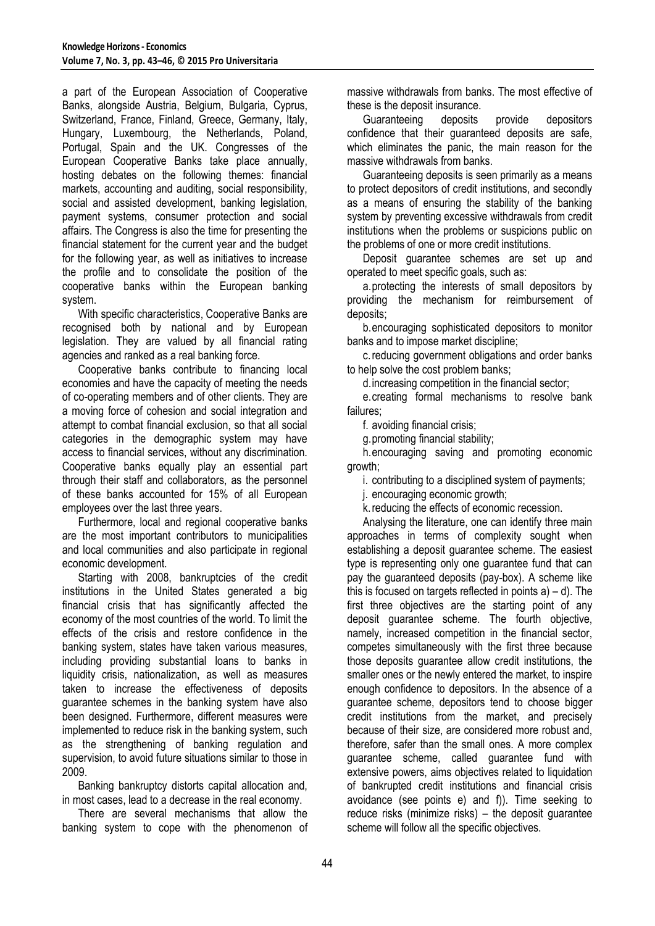a part of the European Association of Cooperative Banks, alongside Austria, Belgium, Bulgaria, Cyprus, Switzerland, France, Finland, Greece, Germany, Italy, Hungary, Luxembourg, the Netherlands, Poland, Portugal, Spain and the UK. Congresses of the European Cooperative Banks take place annually, hosting debates on the following themes: financial markets, accounting and auditing, social responsibility, social and assisted development, banking legislation, payment systems, consumer protection and social affairs. The Congress is also the time for presenting the financial statement for the current year and the budget for the following year, as well as initiatives to increase the profile and to consolidate the position of the cooperative banks within the European banking system.

With specific characteristics, Cooperative Banks are recognised both by national and by European legislation. They are valued by all financial rating agencies and ranked as a real banking force.

Cooperative banks contribute to financing local economies and have the capacity of meeting the needs of co-operating members and of other clients. They are a moving force of cohesion and social integration and attempt to combat financial exclusion, so that all social categories in the demographic system may have access to financial services, without any discrimination. Cooperative banks equally play an essential part through their staff and collaborators, as the personnel of these banks accounted for 15% of all European employees over the last three years.

Furthermore, local and regional cooperative banks are the most important contributors to municipalities and local communities and also participate in regional economic development.

Starting with 2008, bankruptcies of the credit institutions in the United States generated a big financial crisis that has significantly affected the economy of the most countries of the world. To limit the effects of the crisis and restore confidence in the banking system, states have taken various measures, including providing substantial loans to banks in liquidity crisis, nationalization, as well as measures taken to increase the effectiveness of deposits guarantee schemes in the banking system have also been designed. Furthermore, different measures were implemented to reduce risk in the banking system, such as the strengthening of banking regulation and supervision, to avoid future situations similar to those in 2009.

Banking bankruptcy distorts capital allocation and, in most cases, lead to a decrease in the real economy.

There are several mechanisms that allow the banking system to cope with the phenomenon of massive withdrawals from banks. The most effective of these is the deposit insurance.

Guaranteeing deposits provide depositors confidence that their guaranteed deposits are safe, which eliminates the panic, the main reason for the massive withdrawals from banks.

Guaranteeing deposits is seen primarily as a means to protect depositors of credit institutions, and secondly as a means of ensuring the stability of the banking system by preventing excessive withdrawals from credit institutions when the problems or suspicions public on the problems of one or more credit institutions.

Deposit guarantee schemes are set up and operated to meet specific goals, such as:

a.protecting the interests of small depositors by providing the mechanism for reimbursement of deposits;

b.encouraging sophisticated depositors to monitor banks and to impose market discipline;

c.reducing government obligations and order banks to help solve the cost problem banks;

d.increasing competition in the financial sector;

e.creating formal mechanisms to resolve bank failures;

f. avoiding financial crisis;

g.promoting financial stability;

h.encouraging saving and promoting economic growth;

i. contributing to a disciplined system of payments;

j. encouraging economic growth;

k.reducing the effects of economic recession.

Analysing the literature, one can identify three main approaches in terms of complexity sought when establishing a deposit guarantee scheme. The easiest type is representing only one guarantee fund that can pay the guaranteed deposits (pay-box). A scheme like this is focused on targets reflected in points  $a$ ) – d). The first three objectives are the starting point of any deposit guarantee scheme. The fourth objective, namely, increased competition in the financial sector, competes simultaneously with the first three because those deposits guarantee allow credit institutions, the smaller ones or the newly entered the market, to inspire enough confidence to depositors. In the absence of a guarantee scheme, depositors tend to choose bigger credit institutions from the market, and precisely because of their size, are considered more robust and, therefore, safer than the small ones. A more complex guarantee scheme, called guarantee fund with extensive powers, aims objectives related to liquidation of bankrupted credit institutions and financial crisis avoidance (see points e) and f)). Time seeking to reduce risks (minimize risks) – the deposit guarantee scheme will follow all the specific objectives.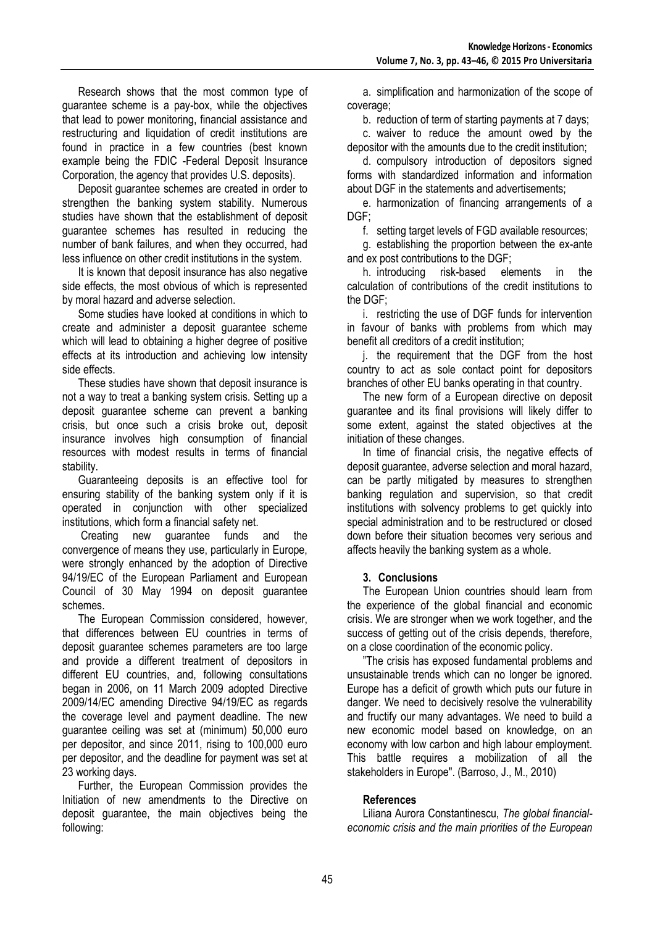Research shows that the most common type of guarantee scheme is a pay-box, while the objectives that lead to power monitoring, financial assistance and restructuring and liquidation of credit institutions are found in practice in a few countries (best known example being the FDIC -Federal Deposit Insurance Corporation, the agency that provides U.S. deposits).

Deposit guarantee schemes are created in order to strengthen the banking system stability. Numerous studies have shown that the establishment of deposit guarantee schemes has resulted in reducing the number of bank failures, and when they occurred, had less influence on other credit institutions in the system.

It is known that deposit insurance has also negative side effects, the most obvious of which is represented by moral hazard and adverse selection.

Some studies have looked at conditions in which to create and administer a deposit guarantee scheme which will lead to obtaining a higher degree of positive effects at its introduction and achieving low intensity side effects.

These studies have shown that deposit insurance is not a way to treat a banking system crisis. Setting up a deposit guarantee scheme can prevent a banking crisis, but once such a crisis broke out, deposit insurance involves high consumption of financial resources with modest results in terms of financial stability.

Guaranteeing deposits is an effective tool for ensuring stability of the banking system only if it is operated in conjunction with other specialized institutions, which form a financial safety net.

Creating new guarantee funds and the convergence of means they use, particularly in Europe, were strongly enhanced by the adoption of Directive 94/19/EC of the European Parliament and European Council of 30 May 1994 on deposit guarantee schemes.

The European Commission considered, however, that differences between EU countries in terms of deposit guarantee schemes parameters are too large and provide a different treatment of depositors in different EU countries, and, following consultations began in 2006, on 11 March 2009 adopted Directive 2009/14/EC amending Directive 94/19/EC as regards the coverage level and payment deadline. The new guarantee ceiling was set at (minimum) 50,000 euro per depositor, and since 2011, rising to 100,000 euro per depositor, and the deadline for payment was set at 23 working days.

Further, the European Commission provides the Initiation of new amendments to the Directive on deposit guarantee, the main objectives being the following:

a. simplification and harmonization of the scope of coverage;

b. reduction of term of starting payments at 7 days;

c. waiver to reduce the amount owed by the depositor with the amounts due to the credit institution;

d. compulsory introduction of depositors signed forms with standardized information and information about DGF in the statements and advertisements;

e. harmonization of financing arrangements of a DGF;

f. setting target levels of FGD available resources;

g. establishing the proportion between the ex-ante and ex post contributions to the DGF;

h. introducing risk-based elements in the calculation of contributions of the credit institutions to the DGF;

i. restricting the use of DGF funds for intervention in favour of banks with problems from which may benefit all creditors of a credit institution;

j. the requirement that the DGF from the host country to act as sole contact point for depositors branches of other EU banks operating in that country.

The new form of a European directive on deposit guarantee and its final provisions will likely differ to some extent, against the stated objectives at the initiation of these changes.

In time of financial crisis, the negative effects of deposit guarantee, adverse selection and moral hazard, can be partly mitigated by measures to strengthen banking regulation and supervision, so that credit institutions with solvency problems to get quickly into special administration and to be restructured or closed down before their situation becomes very serious and affects heavily the banking system as a whole.

## **3. Conclusions**

The European Union countries should learn from the experience of the global financial and economic crisis. We are stronger when we work together, and the success of getting out of the crisis depends, therefore, on a close coordination of the economic policy.

"The crisis has exposed fundamental problems and unsustainable trends which can no longer be ignored. Europe has a deficit of growth which puts our future in danger. We need to decisively resolve the vulnerability and fructify our many advantages. We need to build a new economic model based on knowledge, on an economy with low carbon and high labour employment. This battle requires a mobilization of all the stakeholders in Europe". (Barroso, J., M., 2010)

# **References**

Liliana Aurora Constantinescu, *The global financialeconomic crisis and the main priorities of the European*